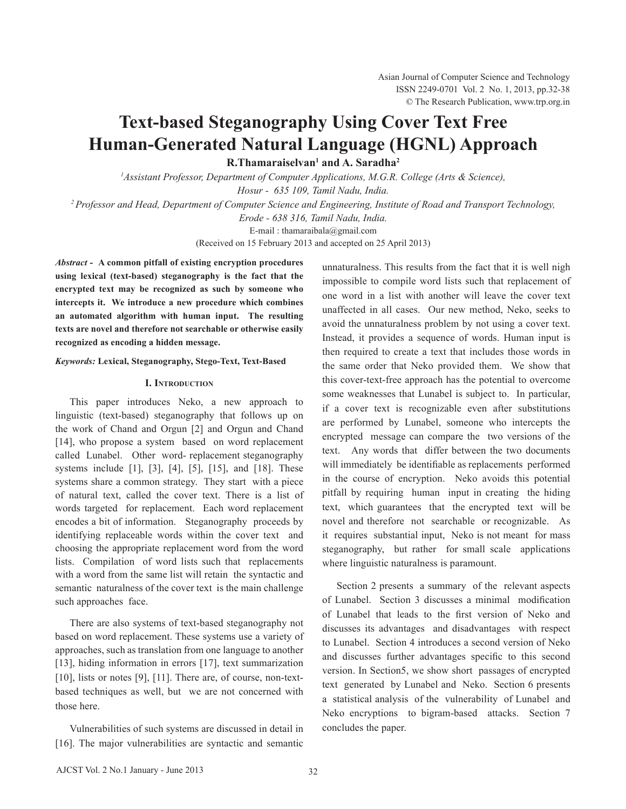# **Text-based Steganography Using Cover Text Free Human-Generated Natural Language (HGNL) Approach**

**R.Thamaraiselvan1 and A. Saradha2**

*1 Assistant Professor, Department of Computer Applications, M.G.R. College (Arts & Science),*

*Hosur - 635 109, Tamil Nadu, India.* 

*2 Professor and Head, Department of Computer Science and Engineering, Institute of Road and Transport Technology,* 

*Erode - 638 316, Tamil Nadu, India.* 

E-mail : thamaraibala@gmail.com

(Received on 15 February 2013 and accepted on 25 April 2013)

*Abstract -* **A common pitfall of existing encryption procedures using lexical (text-based) steganography is the fact that the encrypted text may be recognized as such by someone who intercepts it. We introduce a new procedure which combines an automated algorithm with human input. The resulting texts are novel and therefore not searchable or otherwise easily recognized as encoding a hidden message.**

# *Keywords:* **Lexical, Steganography, Stego-Text, Text-Based**

# **I. Introduction**

This paper introduces Neko, a new approach to linguistic (text-based) steganography that follows up on the work of Chand and Orgun [2] and Orgun and Chand [14], who propose a system based on word replacement called Lunabel. Other word- replacement steganography systems include [1], [3], [4], [5], [15], and [18]. These systems share a common strategy. They start with a piece of natural text, called the cover text. There is a list of words targeted for replacement. Each word replacement encodes a bit of information. Steganography proceeds by identifying replaceable words within the cover text and choosing the appropriate replacement word from the word lists. Compilation of word lists such that replacements with a word from the same list will retain the syntactic and semantic naturalness of the cover text is the main challenge such approaches face.

 There are also systems of text-based steganography not based on word replacement. These systems use a variety of approaches, such as translation from one language to another [13], hiding information in errors [17], text summarization [10], lists or notes [9], [11]. There are, of course, non-textbased techniques as well, but we are not concerned with those here.

Vulnerabilities of such systems are discussed in detail in [16]. The major vulnerabilities are syntactic and semantic unnaturalness. This results from the fact that it is well nigh impossible to compile word lists such that replacement of one word in a list with another will leave the cover text unaffected in all cases. Our new method, Neko, seeks to avoid the unnaturalness problem by not using a cover text. Instead, it provides a sequence of words. Human input is then required to create a text that includes those words in the same order that Neko provided them. We show that this cover-text-free approach has the potential to overcome some weaknesses that Lunabel is subject to. In particular, if a cover text is recognizable even after substitutions are performed by Lunabel, someone who intercepts the encrypted message can compare the two versions of the text. Any words that differ between the two documents will immediately be identifiable as replacements performed in the course of encryption. Neko avoids this potential pitfall by requiring human input in creating the hiding text, which guarantees that the encrypted text will be novel and therefore not searchable or recognizable. As it requires substantial input, Neko is not meant for mass steganography, but rather for small scale applications where linguistic naturalness is paramount.

Section 2 presents a summary of the relevant aspects of Lunabel. Section 3 discusses a minimal modification of Lunabel that leads to the first version of Neko and discusses its advantages and disadvantages with respect to Lunabel. Section 4 introduces a second version of Neko and discusses further advantages specific to this second version. In Section5, we show short passages of encrypted text generated by Lunabel and Neko. Section 6 presents a statistical analysis of the vulnerability of Lunabel and Neko encryptions to bigram-based attacks. Section 7 concludes the paper.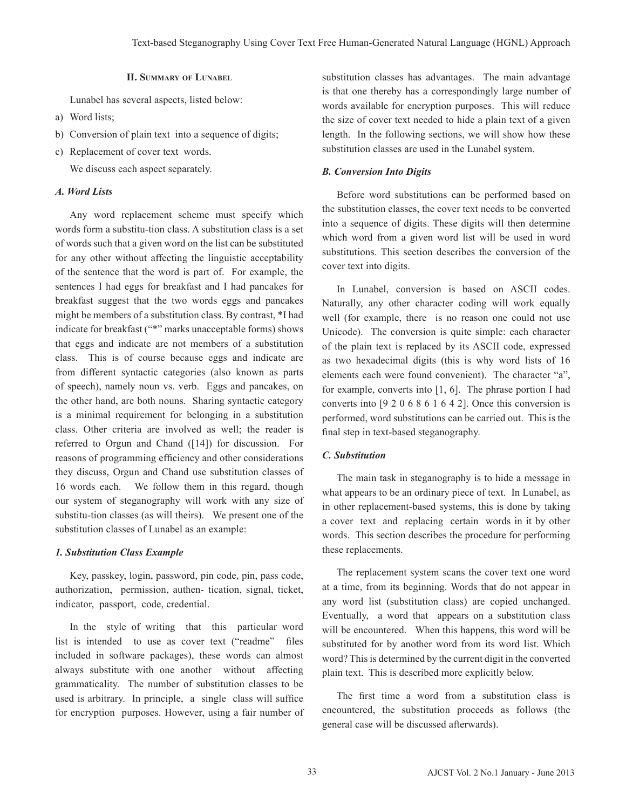#### **II. Summary of Lunabel**

Lunabel has several aspects, listed below:

- a) Word lists;
- b) Conversion of plain text into a sequence of digits;
- c) Replacement of cover text words.

We discuss each aspect separately.

## *A. Word Lists*

Any word replacement scheme must specify which words form a substitu-tion class. A substitution class is a set of words such that a given word on the list can be substituted for any other without affecting the linguistic acceptability of the sentence that the word is part of. For example, the sentences I had eggs for breakfast and I had pancakes for breakfast suggest that the two words eggs and pancakes might be members of a substitution class. By contrast, \*I had indicate for breakfast ("\*" marks unacceptable forms) shows that eggs and indicate are not members of a substitution class. This is of course because eggs and indicate are from different syntactic categories (also known as parts of speech), namely noun vs. verb. Eggs and pancakes, on the other hand, are both nouns. Sharing syntactic category is a minimal requirement for belonging in a substitution class. Other criteria are involved as well; the reader is referred to Orgun and Chand ([14]) for discussion. For reasons of programming efficiency and other considerations they discuss, Orgun and Chand use substitution classes of 16 words each. We follow them in this regard, though our system of steganography will work with any size of substitu-tion classes (as will theirs). We present one of the substitution classes of Lunabel as an example:

## *1. Substitution Class Example*

Key, passkey, login, password, pin code, pin, pass code, authorization, permission, authen- tication, signal, ticket, indicator, passport, code, credential.

In the style of writing that this particular word list is intended to use as cover text ("readme" files included in software packages), these words can almost always substitute with one another without affecting grammaticality. The number of substitution classes to be used is arbitrary. In principle, a single class will suffice for encryption purposes. However, using a fair number of substitution classes has advantages. The main advantage is that one thereby has a correspondingly large number of words available for encryption purposes. This will reduce the size of cover text needed to hide a plain text of a given length. In the following sections, we will show how these substitution classes are used in the Lunabel system.

## *B. Conversion Into Digits*

Before word substitutions can be performed based on the substitution classes, the cover text needs to be converted into a sequence of digits. These digits will then determine which word from a given word list will be used in word substitutions. This section describes the conversion of the cover text into digits.

 In Lunabel, conversion is based on ASCII codes. Naturally, any other character coding will work equally well (for example, there is no reason one could not use Unicode). The conversion is quite simple: each character of the plain text is replaced by its ASCII code, expressed as two hexadecimal digits (this is why word lists of 16 elements each were found convenient). The character "a", for example, converts into [1, 6]. The phrase portion I had converts into [9 2 0 6 8 6 1 6 4 2]. Once this conversion is performed, word substitutions can be carried out. This is the final step in text-based steganography.

## *C. Substitution*

The main task in steganography is to hide a message in what appears to be an ordinary piece of text. In Lunabel, as in other replacement-based systems, this is done by taking a cover text and replacing certain words in it by other words. This section describes the procedure for performing these replacements.

 The replacement system scans the cover text one word at a time, from its beginning. Words that do not appear in any word list (substitution class) are copied unchanged. Eventually, a word that appears on a substitution class will be encountered. When this happens, this word will be substituted for by another word from its word list. Which word? This is determined by the current digit in the converted plain text. This is described more explicitly below.

 The first time a word from a substitution class is encountered, the substitution proceeds as follows (the general case will be discussed afterwards).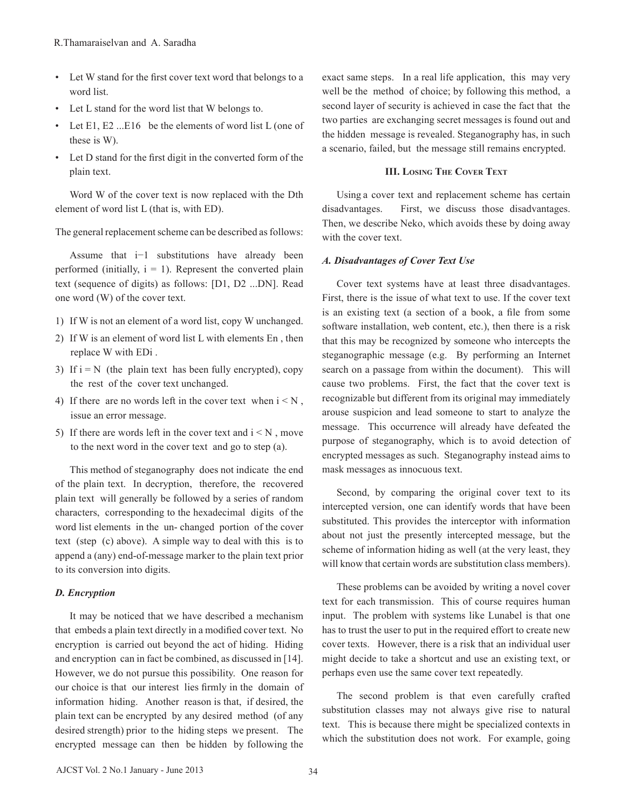- • Let W stand for the first cover text word that belongs to a word list.
- • Let L stand for the word list that W belongs to.
- Let  $E1$ ,  $E2$  ... $E16$  be the elements of word list L (one of these is W).
- • Let D stand for the first digit in the converted form of the plain text.

 Word W of the cover text is now replaced with the Dth element of word list L (that is, with ED).

The general replacement scheme can be described as follows:

 Assume that i−1 substitutions have already been performed (initially,  $i = 1$ ). Represent the converted plain text (sequence of digits) as follows: [D1, D2 ...DN]. Read one word (W) of the cover text.

- 1) If W is not an element of a word list, copy W unchanged.
- 2) If W is an element of word list L with elements En , then replace W with EDi .
- 3) If  $i = N$  (the plain text has been fully encrypted), copy the rest of the cover text unchanged.
- 4) If there are no words left in the cover text when  $i < N$ , issue an error message.
- 5) If there are words left in the cover text and  $i < N$ , move to the next word in the cover text and go to step (a).

This method of steganography does not indicate the end of the plain text. In decryption, therefore, the recovered plain text will generally be followed by a series of random characters, corresponding to the hexadecimal digits of the word list elements in the un- changed portion of the cover text (step (c) above). A simple way to deal with this is to append a (any) end-of-message marker to the plain text prior to its conversion into digits.

## *D. Encryption*

It may be noticed that we have described a mechanism that embeds a plain text directly in a modified cover text. No encryption is carried out beyond the act of hiding. Hiding and encryption can in fact be combined, as discussed in [14]. However, we do not pursue this possibility. One reason for our choice is that our interest lies firmly in the domain of information hiding. Another reason is that, if desired, the plain text can be encrypted by any desired method (of any desired strength) prior to the hiding steps we present. The encrypted message can then be hidden by following the

exact same steps. In a real life application, this may very well be the method of choice; by following this method, a second layer of security is achieved in case the fact that the two parties are exchanging secret messages is found out and the hidden message is revealed. Steganography has, in such a scenario, failed, but the message still remains encrypted.

## **III. Losing The Cover Text**

 Using a cover text and replacement scheme has certain disadvantages. First, we discuss those disadvantages. Then, we describe Neko, which avoids these by doing away with the cover text.

## *A. Disadvantages of Cover Text Use*

 Cover text systems have at least three disadvantages. First, there is the issue of what text to use. If the cover text is an existing text (a section of a book, a file from some software installation, web content, etc.), then there is a risk that this may be recognized by someone who intercepts the steganographic message (e.g. By performing an Internet search on a passage from within the document). This will cause two problems. First, the fact that the cover text is recognizable but different from its original may immediately arouse suspicion and lead someone to start to analyze the message. This occurrence will already have defeated the purpose of steganography, which is to avoid detection of encrypted messages as such. Steganography instead aims to mask messages as innocuous text.

 Second, by comparing the original cover text to its intercepted version, one can identify words that have been substituted. This provides the interceptor with information about not just the presently intercepted message, but the scheme of information hiding as well (at the very least, they will know that certain words are substitution class members).

These problems can be avoided by writing a novel cover text for each transmission. This of course requires human input. The problem with systems like Lunabel is that one has to trust the user to put in the required effort to create new cover texts. However, there is a risk that an individual user might decide to take a shortcut and use an existing text, or perhaps even use the same cover text repeatedly.

The second problem is that even carefully crafted substitution classes may not always give rise to natural text. This is because there might be specialized contexts in which the substitution does not work. For example, going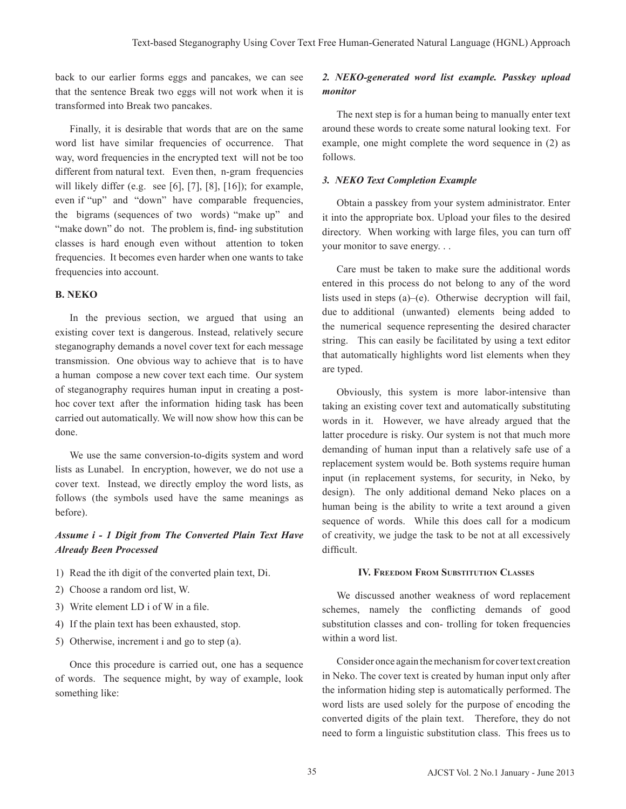back to our earlier forms eggs and pancakes, we can see that the sentence Break two eggs will not work when it is transformed into Break two pancakes.

Finally, it is desirable that words that are on the same word list have similar frequencies of occurrence. That way, word frequencies in the encrypted text will not be too different from natural text. Even then, n-gram frequencies will likely differ (e.g. see [6], [7], [8], [16]); for example, even if "up" and "down" have comparable frequencies, the bigrams (sequences of two words) "make up" and "make down" do not. The problem is, find- ing substitution classes is hard enough even without attention to token frequencies. It becomes even harder when one wants to take frequencies into account.

# **B. NEKO**

In the previous section, we argued that using an existing cover text is dangerous. Instead, relatively secure steganography demands a novel cover text for each message transmission. One obvious way to achieve that is to have a human compose a new cover text each time. Our system of steganography requires human input in creating a posthoc cover text after the information hiding task has been carried out automatically. We will now show how this can be done.

We use the same conversion-to-digits system and word lists as Lunabel. In encryption, however, we do not use a cover text. Instead, we directly employ the word lists, as follows (the symbols used have the same meanings as before).

# *Assume i - 1 Digit from The Converted Plain Text Have Already Been Processed*

- 1) Read the ith digit of the converted plain text, Di.
- 2) Choose a random ord list, W.
- 3) Write element LD i of W in a file.
- 4) If the plain text has been exhausted, stop.
- 5) Otherwise, increment i and go to step (a).

Once this procedure is carried out, one has a sequence of words. The sequence might, by way of example, look something like:

# *2. NEKO-generated word list example. Passkey upload monitor*

 The next step is for a human being to manually enter text around these words to create some natural looking text. For example, one might complete the word sequence in (2) as follows.

#### *3. NEKO Text Completion Example*

Obtain a passkey from your system administrator. Enter it into the appropriate box. Upload your files to the desired directory. When working with large files, you can turn off your monitor to save energy. . .

 Care must be taken to make sure the additional words entered in this process do not belong to any of the word lists used in steps (a)–(e). Otherwise decryption will fail, due to additional (unwanted) elements being added to the numerical sequence representing the desired character string. This can easily be facilitated by using a text editor that automatically highlights word list elements when they are typed.

Obviously, this system is more labor-intensive than taking an existing cover text and automatically substituting words in it. However, we have already argued that the latter procedure is risky. Our system is not that much more demanding of human input than a relatively safe use of a replacement system would be. Both systems require human input (in replacement systems, for security, in Neko, by design). The only additional demand Neko places on a human being is the ability to write a text around a given sequence of words. While this does call for a modicum of creativity, we judge the task to be not at all excessively difficult.

## **IV. Freedom From Substitution Classes**

We discussed another weakness of word replacement schemes, namely the conflicting demands of good substitution classes and con- trolling for token frequencies within a word list.

Consider once again the mechanism for cover text creation in Neko. The cover text is created by human input only after the information hiding step is automatically performed. The word lists are used solely for the purpose of encoding the converted digits of the plain text. Therefore, they do not need to form a linguistic substitution class. This frees us to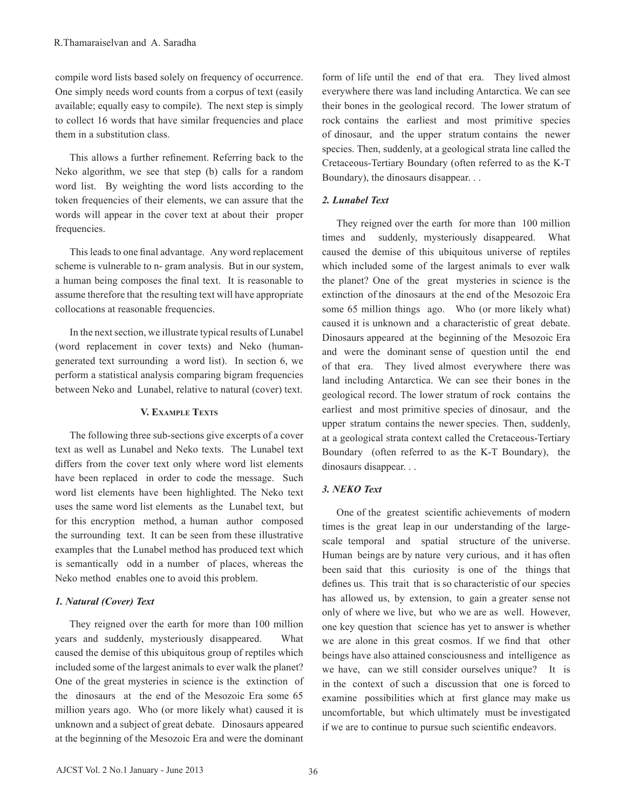compile word lists based solely on frequency of occurrence. One simply needs word counts from a corpus of text (easily available; equally easy to compile). The next step is simply to collect 16 words that have similar frequencies and place them in a substitution class.

 This allows a further refinement. Referring back to the Neko algorithm, we see that step (b) calls for a random word list. By weighting the word lists according to the token frequencies of their elements, we can assure that the words will appear in the cover text at about their proper frequencies.

This leads to one final advantage. Any word replacement scheme is vulnerable to n- gram analysis. But in our system, a human being composes the final text. It is reasonable to assume therefore that the resulting text will have appropriate collocations at reasonable frequencies.

In the next section, we illustrate typical results of Lunabel (word replacement in cover texts) and Neko (humangenerated text surrounding a word list). In section 6, we perform a statistical analysis comparing bigram frequencies between Neko and Lunabel, relative to natural (cover) text.

## **V. Example Texts**

 The following three sub-sections give excerpts of a cover text as well as Lunabel and Neko texts. The Lunabel text differs from the cover text only where word list elements have been replaced in order to code the message. Such word list elements have been highlighted. The Neko text uses the same word list elements as the Lunabel text, but for this encryption method, a human author composed the surrounding text. It can be seen from these illustrative examples that the Lunabel method has produced text which is semantically odd in a number of places, whereas the Neko method enables one to avoid this problem.

## *1. Natural (Cover) Text*

They reigned over the earth for more than 100 million years and suddenly, mysteriously disappeared. What caused the demise of this ubiquitous group of reptiles which included some of the largest animals to ever walk the planet? One of the great mysteries in science is the extinction of the dinosaurs at the end of the Mesozoic Era some 65 million years ago. Who (or more likely what) caused it is unknown and a subject of great debate. Dinosaurs appeared at the beginning of the Mesozoic Era and were the dominant

form of life until the end of that era. They lived almost everywhere there was land including Antarctica. We can see their bones in the geological record. The lower stratum of rock contains the earliest and most primitive species of dinosaur, and the upper stratum contains the newer species. Then, suddenly, at a geological strata line called the Cretaceous-Tertiary Boundary (often referred to as the K-T Boundary), the dinosaurs disappear. . .

# *2. Lunabel Text*

They reigned over the earth for more than 100 million times and suddenly, mysteriously disappeared. What caused the demise of this ubiquitous universe of reptiles which included some of the largest animals to ever walk the planet? One of the great mysteries in science is the extinction of the dinosaurs at the end of the Mesozoic Era some 65 million things ago. Who (or more likely what) caused it is unknown and a characteristic of great debate. Dinosaurs appeared at the beginning of the Mesozoic Era and were the dominant sense of question until the end of that era. They lived almost everywhere there was land including Antarctica. We can see their bones in the geological record. The lower stratum of rock contains the earliest and most primitive species of dinosaur, and the upper stratum contains the newer species. Then, suddenly, at a geological strata context called the Cretaceous-Tertiary Boundary (often referred to as the K-T Boundary), the dinosaurs disappear. . .

## *3. NEKO Text*

 One of the greatest scientific achievements of modern times is the great leap in our understanding of the largescale temporal and spatial structure of the universe. Human beings are by nature very curious, and it has often been said that this curiosity is one of the things that defines us. This trait that is so characteristic of our species has allowed us, by extension, to gain a greater sense not only of where we live, but who we are as well. However, one key question that science has yet to answer is whether we are alone in this great cosmos. If we find that other beings have also attained consciousness and intelligence as we have, can we still consider ourselves unique? It is in the context of such a discussion that one is forced to examine possibilities which at first glance may make us uncomfortable, but which ultimately must be investigated if we are to continue to pursue such scientific endeavors.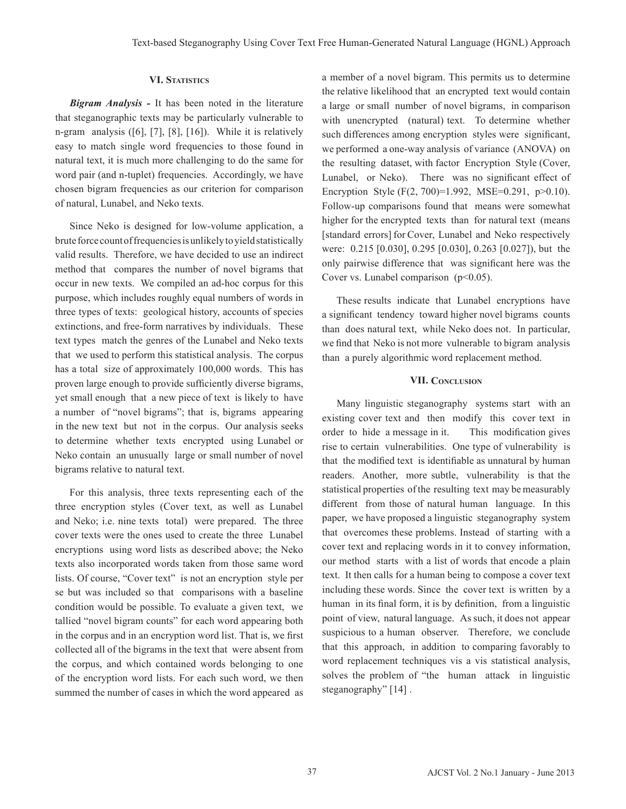# **VI. Statistics**

*Bigram Analysis -* It has been noted in the literature that steganographic texts may be particularly vulnerable to n-gram analysis ([6], [7], [8], [16]). While it is relatively easy to match single word frequencies to those found in natural text, it is much more challenging to do the same for word pair (and n-tuplet) frequencies. Accordingly, we have chosen bigram frequencies as our criterion for comparison of natural, Lunabel, and Neko texts.

Since Neko is designed for low-volume application, a brute force count of frequencies is unlikely to yield statistically valid results. Therefore, we have decided to use an indirect method that compares the number of novel bigrams that occur in new texts. We compiled an ad-hoc corpus for this purpose, which includes roughly equal numbers of words in three types of texts: geological history, accounts of species extinctions, and free-form narratives by individuals. These text types match the genres of the Lunabel and Neko texts that we used to perform this statistical analysis. The corpus has a total size of approximately 100,000 words. This has proven large enough to provide sufficiently diverse bigrams, yet small enough that a new piece of text is likely to have a number of "novel bigrams"; that is, bigrams appearing in the new text but not in the corpus. Our analysis seeks to determine whether texts encrypted using Lunabel or Neko contain an unusually large or small number of novel bigrams relative to natural text.

 For this analysis, three texts representing each of the three encryption styles (Cover text, as well as Lunabel and Neko; i.e. nine texts total) were prepared. The three cover texts were the ones used to create the three Lunabel encryptions using word lists as described above; the Neko texts also incorporated words taken from those same word lists. Of course, "Cover text" is not an encryption style per se but was included so that comparisons with a baseline condition would be possible. To evaluate a given text, we tallied "novel bigram counts" for each word appearing both in the corpus and in an encryption word list. That is, we first collected all of the bigrams in the text that were absent from the corpus, and which contained words belonging to one of the encryption word lists. For each such word, we then summed the number of cases in which the word appeared as a member of a novel bigram. This permits us to determine the relative likelihood that an encrypted text would contain a large or small number of novel bigrams, in comparison with unencrypted (natural) text. To determine whether such differences among encryption styles were significant, we performed a one-way analysis of variance (ANOVA) on the resulting dataset, with factor Encryption Style (Cover, Lunabel, or Neko). There was no significant effect of Encryption Style (F(2, 700)=1.992, MSE=0.291, p>0.10). Follow-up comparisons found that means were somewhat higher for the encrypted texts than for natural text (means [standard errors] for Cover, Lunabel and Neko respectively were: 0.215 [0.030], 0.295 [0.030], 0.263 [0.027]), but the only pairwise difference that was significant here was the Cover vs. Lunabel comparison  $(p<0.05)$ .

These results indicate that Lunabel encryptions have a significant tendency toward higher novel bigrams counts than does natural text, while Neko does not. In particular, we find that Neko is not more vulnerable to bigram analysis than a purely algorithmic word replacement method.

## **VII. Conclusion**

Many linguistic steganography systems start with an existing cover text and then modify this cover text in order to hide a message in it. This modification gives rise to certain vulnerabilities. One type of vulnerability is that the modified text is identifiable as unnatural by human readers. Another, more subtle, vulnerability is that the statistical properties of the resulting text may be measurably different from those of natural human language. In this paper, we have proposed a linguistic steganography system that overcomes these problems. Instead of starting with a cover text and replacing words in it to convey information, our method starts with a list of words that encode a plain text. It then calls for a human being to compose a cover text including these words. Since the cover text is written by a human in its final form, it is by definition, from a linguistic point of view, natural language. As such, it does not appear suspicious to a human observer. Therefore, we conclude that this approach, in addition to comparing favorably to word replacement techniques vis a vis statistical analysis, solves the problem of "the human attack in linguistic steganography" [14].